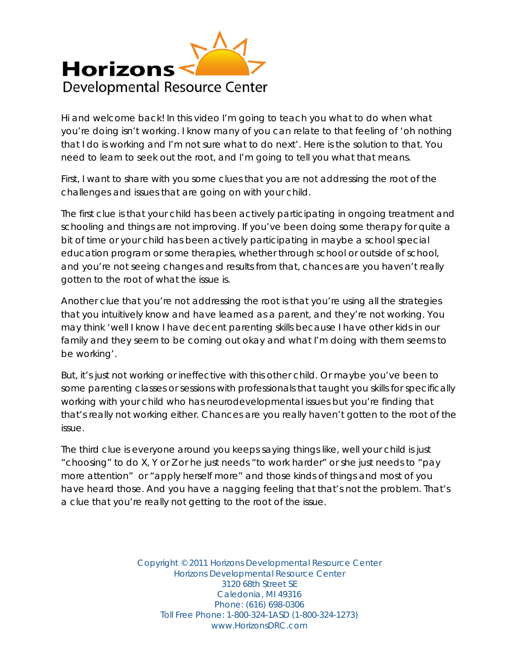

Hi and welcome back! In this video I'm going to teach you what to do when what you're doing isn't working. I know many of you can relate to that feeling of 'oh nothing that I do is working and I'm not sure what to do next'. Here is the solution to that. You need to learn to seek out the root, and I'm going to tell you what that means.

First, I want to share with you some clues that you are not addressing the root of the challenges and issues that are going on with your child.

The first clue is that your child has been actively participating in ongoing treatment and schooling and things are not improving. If you've been doing some therapy for quite a bit of time or your child has been actively participating in maybe a school special education program or some therapies, whether through school or outside of school, and you're not seeing changes and results from that, chances are you haven't really gotten to the root of what the issue is.

Another clue that you're not addressing the root is that you're using all the strategies that you intuitively know and have learned as a parent, and they're not working. You may think 'well I know I have decent parenting skills because I have other kids in our family and they seem to be coming out okay and what I'm doing with them seems to be working'.

But, it's just not working or ineffective with this other child. Or maybe you've been to some parenting classes or sessions with professionals that taught you skills for specifically working with your child who has neurodevelopmental issues but you're finding that that's really not working either. Chances are you really haven't gotten to the root of the issue.

The third clue is everyone around you keeps saying things like, well your child is just "choosing" to do X, Y or Z or he just needs "to work harder" or she just needs to "pay more attention" or "apply herself more" and those kinds of things and most of you have heard those. And you have a nagging feeling that that's not the problem. That's a clue that you're really not getting to the root of the issue.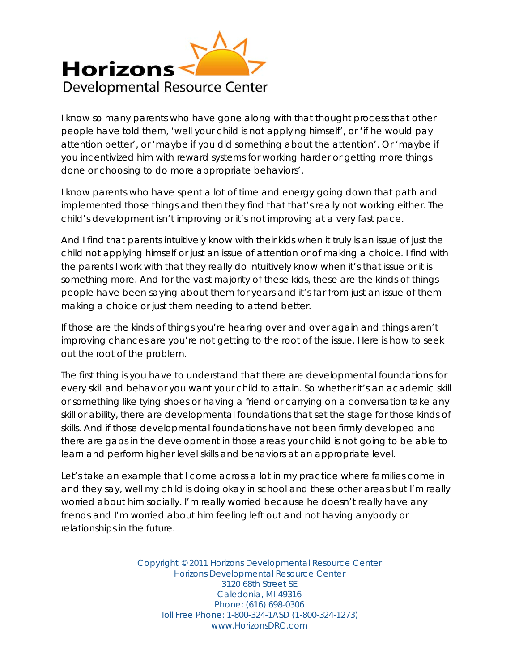

I know so many parents who have gone along with that thought process that other people have told them, 'well your child is not applying himself', or 'if he would pay attention better', or 'maybe if you did something about the attention'. Or 'maybe if you incentivized him with reward systems for working harder or getting more things done or choosing to do more appropriate behaviors'.

I know parents who have spent a lot of time and energy going down that path and implemented those things and then they find that that's really not working either. The child's development isn't improving or it's not improving at a very fast pace.

And I find that parents intuitively know with their kids when it truly is an issue of just the child not applying himself or just an issue of attention or of making a choice. I find with the parents I work with that they really do intuitively know when it's that issue or it is something more. And for the vast majority of these kids, these are the kinds of things people have been saying about them for years and it's far from just an issue of them making a choice or just them needing to attend better.

If those are the kinds of things you're hearing over and over again and things aren't improving chances are you're not getting to the root of the issue. Here is how to seek out the root of the problem.

The first thing is you have to understand that there are developmental foundations for every skill and behavior you want your child to attain. So whether it's an academic skill or something like tying shoes or having a friend or carrying on a conversation take any skill or ability, there are developmental foundations that set the stage for those kinds of skills. And if those developmental foundations have not been firmly developed and there are gaps in the development in those areas your child is not going to be able to learn and perform higher level skills and behaviors at an appropriate level.

Let's take an example that I come across a lot in my practice where families come in and they say, well my child is doing okay in school and these other areas but I'm really worried about him socially. I'm really worried because he doesn't really have any friends and I'm worried about him feeling left out and not having anybody or relationships in the future.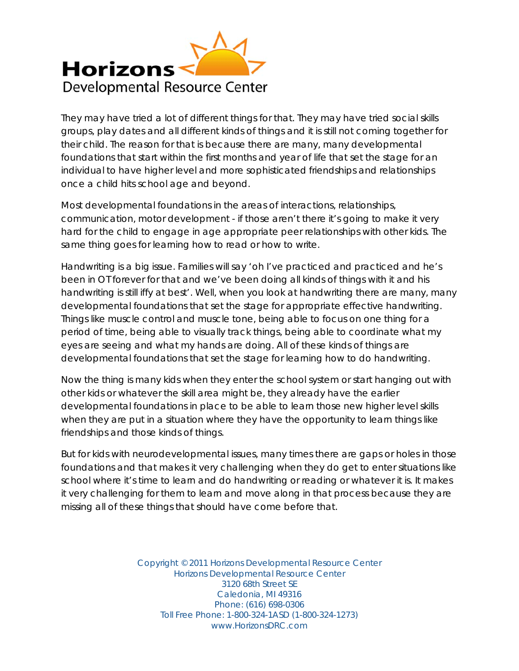

They may have tried a lot of different things for that. They may have tried social skills groups, play dates and all different kinds of things and it is still not coming together for their child. The reason for that is because there are many, many developmental foundations that start within the first months and year of life that set the stage for an individual to have higher level and more sophisticated friendships and relationships once a child hits school age and beyond.

Most developmental foundations in the areas of interactions, relationships, communication, motor development - if those aren't there it's going to make it very hard for the child to engage in age appropriate peer relationships with other kids. The same thing goes for learning how to read or how to write.

Handwriting is a big issue. Families will say 'oh I've practiced and practiced and he's been in OT forever for that and we've been doing all kinds of things with it and his handwriting is still iffy at best'. Well, when you look at handwriting there are many, many developmental foundations that set the stage for appropriate effective handwriting. Things like muscle control and muscle tone, being able to focus on one thing for a period of time, being able to visually track things, being able to coordinate what my eyes are seeing and what my hands are doing. All of these kinds of things are developmental foundations that set the stage for learning how to do handwriting.

Now the thing is many kids when they enter the school system or start hanging out with other kids or whatever the skill area might be, they already have the earlier developmental foundations in place to be able to learn those new higher level skills when they are put in a situation where they have the opportunity to learn things like friendships and those kinds of things.

But for kids with neurodevelopmental issues, many times there are gaps or holes in those foundations and that makes it very challenging when they do get to enter situations like school where it's time to learn and do handwriting or reading or whatever it is. It makes it very challenging for them to learn and move along in that process because they are missing all of these things that should have come before that.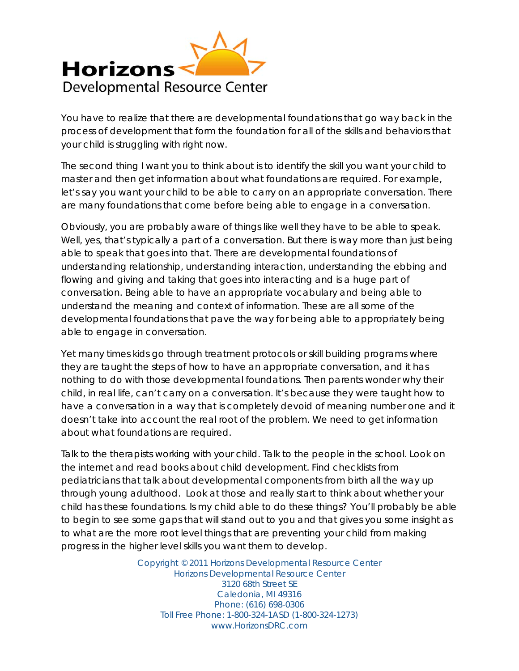

You have to realize that there are developmental foundations that go way back in the process of development that form the foundation for all of the skills and behaviors that your child is struggling with right now.

The second thing I want you to think about is to identify the skill you want your child to master and then get information about what foundations are required. For example, let's say you want your child to be able to carry on an appropriate conversation. There are many foundations that come before being able to engage in a conversation.

Obviously, you are probably aware of things like well they have to be able to speak. Well, yes, that's typically a part of a conversation. But there is way more than just being able to speak that goes into that. There are developmental foundations of understanding relationship, understanding interaction, understanding the ebbing and flowing and giving and taking that goes into interacting and is a huge part of conversation. Being able to have an appropriate vocabulary and being able to understand the meaning and context of information. These are all some of the developmental foundations that pave the way for being able to appropriately being able to engage in conversation.

Yet many times kids go through treatment protocols or skill building programs where they are taught the steps of how to have an appropriate conversation, and it has nothing to do with those developmental foundations. Then parents wonder why their child, in real life, can't carry on a conversation. It's because they were taught how to have a conversation in a way that is completely devoid of meaning number one and it doesn't take into account the real root of the problem. We need to get information about what foundations are required.

Talk to the therapists working with your child. Talk to the people in the school. Look on the internet and read books about child development. Find checklists from pediatricians that talk about developmental components from birth all the way up through young adulthood. Look at those and really start to think about whether your child has these foundations. Is my child able to do these things? You'll probably be able to begin to see some gaps that will stand out to you and that gives you some insight as to what are the more root level things that are preventing your child from making progress in the higher level skills you want them to develop.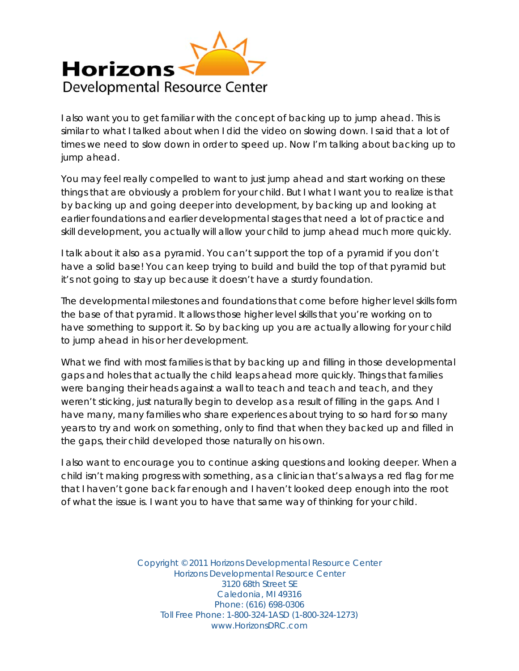

I also want you to get familiar with the concept of backing up to jump ahead. This is similar to what I talked about when I did the video on slowing down. I said that a lot of times we need to slow down in order to speed up. Now I'm talking about backing up to jump ahead.

You may feel really compelled to want to just jump ahead and start working on these things that are obviously a problem for your child. But I what I want you to realize is that by backing up and going deeper into development, by backing up and looking at earlier foundations and earlier developmental stages that need a lot of practice and skill development, you actually will allow your child to jump ahead much more quickly.

I talk about it also as a pyramid. You can't support the top of a pyramid if you don't have a solid base! You can keep trying to build and build the top of that pyramid but it's not going to stay up because it doesn't have a sturdy foundation.

The developmental milestones and foundations that come before higher level skills form the base of that pyramid. It allows those higher level skills that you're working on to have something to support it. So by backing up you are actually allowing for your child to jump ahead in his or her development.

What we find with most families is that by backing up and filling in those developmental gaps and holes that actually the child leaps ahead more quickly. Things that families were banging their heads against a wall to teach and teach and teach, and they weren't sticking, just naturally begin to develop as a result of filling in the gaps. And I have many, many families who share experiences about trying to so hard for so many years to try and work on something, only to find that when they backed up and filled in the gaps, their child developed those naturally on his own.

I also want to encourage you to continue asking questions and looking deeper. When a child isn't making progress with something, as a clinician that's always a red flag for me that I haven't gone back far enough and I haven't looked deep enough into the root of what the issue is. I want you to have that same way of thinking for your child.